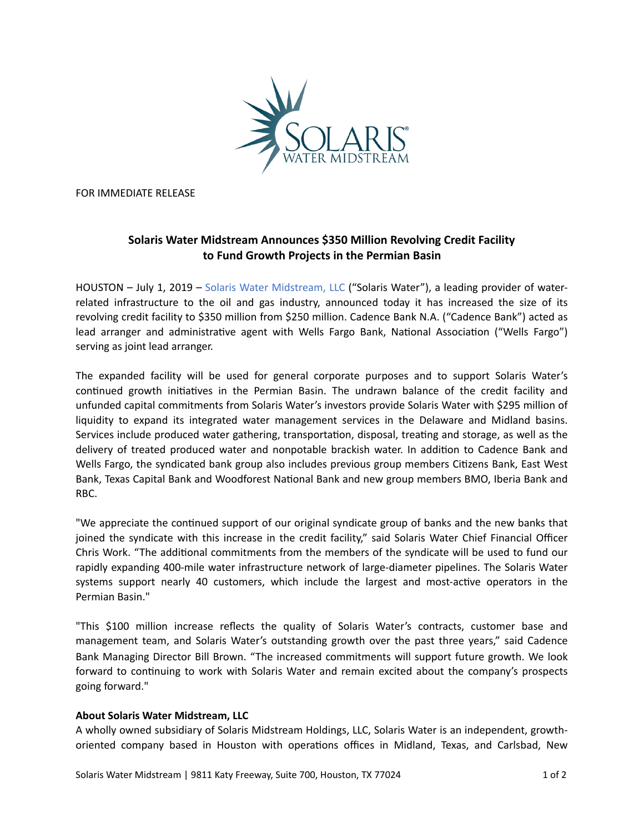

FOR IMMEDIATE RELEASE

## **Solaris Water Midstream Announces \$350 Million Revolving Credit Facility** to Fund Growth Projects in the Permian Basin

HOUSTON - July 1, 2019 - Solaris Water Midstream, LLC ("Solaris Water"), a leading provider of waterrelated infrastructure to the oil and gas industry, announced today it has increased the size of its revolving credit facility to \$350 million from \$250 million. Cadence Bank N.A. ("Cadence Bank") acted as lead arranger and administrative agent with Wells Fargo Bank, National Association ("Wells Fargo") serving as joint lead arranger.

The expanded facility will be used for general corporate purposes and to support Solaris Water's continued growth initiatives in the Permian Basin. The undrawn balance of the credit facility and unfunded capital commitments from Solaris Water's investors provide Solaris Water with \$295 million of liquidity to expand its integrated water management services in the Delaware and Midland basins. Services include produced water gathering, transportation, disposal, treating and storage, as well as the delivery of treated produced water and nonpotable brackish water. In addition to Cadence Bank and Wells Fargo, the syndicated bank group also includes previous group members Citizens Bank, East West Bank, Texas Capital Bank and Woodforest National Bank and new group members BMO, Iberia Bank and RBC. 

"We appreciate the continued support of our original syndicate group of banks and the new banks that joined the syndicate with this increase in the credit facility," said Solaris Water Chief Financial Officer Chris Work. "The additional commitments from the members of the syndicate will be used to fund our rapidly expanding 400-mile water infrastructure network of large-diameter pipelines. The Solaris Water systems support nearly 40 customers, which include the largest and most-active operators in the Permian Basin." 

"This \$100 million increase reflects the quality of Solaris Water's contracts, customer base and management team, and Solaris Water's outstanding growth over the past three years," said Cadence Bank Managing Director Bill Brown. "The increased commitments will support future growth. We look forward to continuing to work with Solaris Water and remain excited about the company's prospects going forward."

## **About Solaris Water Midstream, LLC**

A wholly owned subsidiary of Solaris Midstream Holdings, LLC, Solaris Water is an independent, growthoriented company based in Houston with operations offices in Midland, Texas, and Carlsbad, New